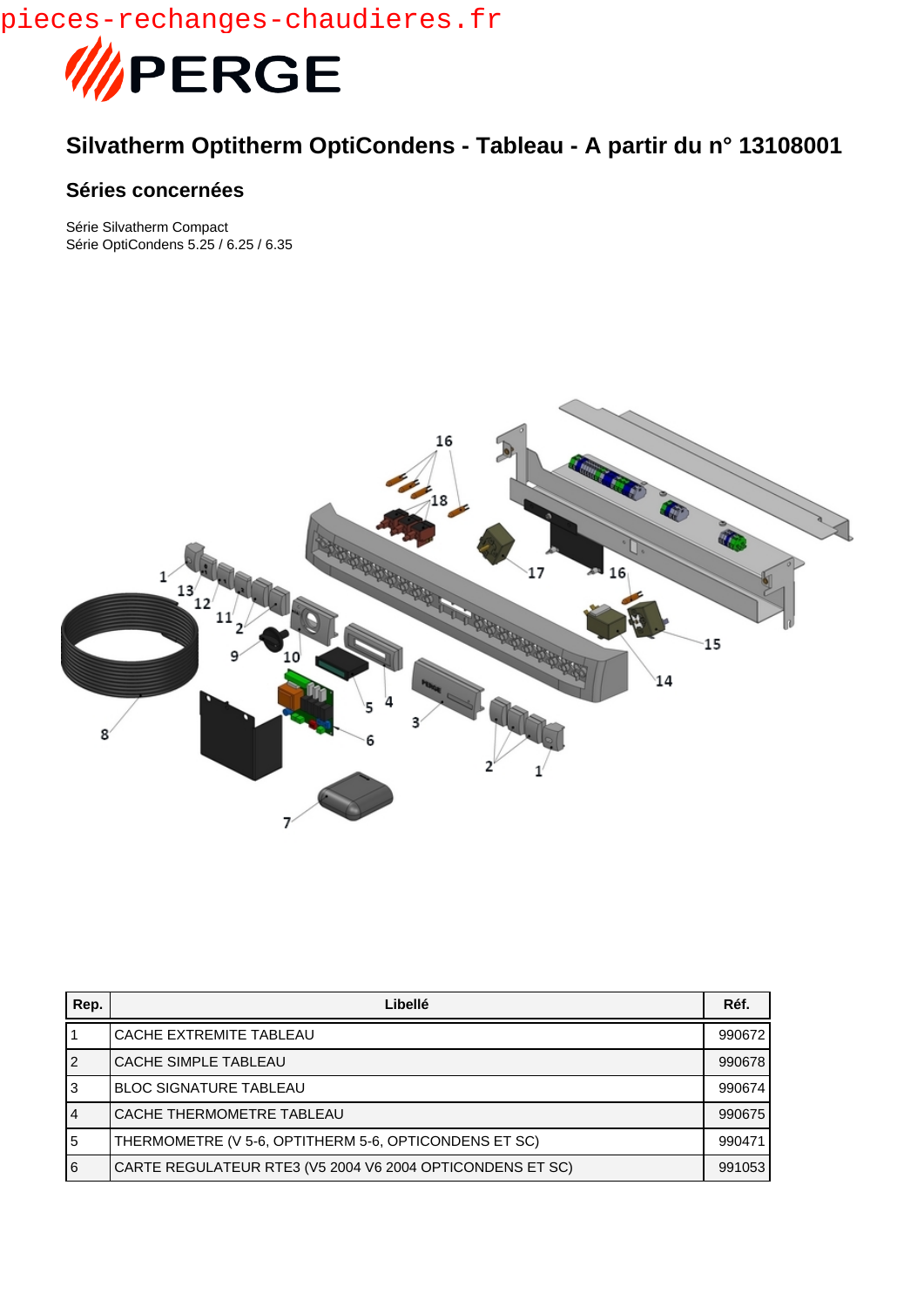pieces-rechanges-chaudieres.fr



## **Silvatherm Optitherm OptiCondens - Tableau - A partir du n° 13108001**

## **Séries concernées**

Série Silvatherm Compact Série OptiCondens 5.25 / 6.25 / 6.35



| Rep.           | Libellé                                                   | Réf.   |
|----------------|-----------------------------------------------------------|--------|
|                | CACHE EXTREMITE TABLEAU                                   | 990672 |
| <u> 2</u>      | CACHE SIMPLE TABLEAU                                      | 990678 |
| l3             | <b>BLOC SIGNATURE TABLEAU</b>                             | 990674 |
| 4              | CACHE THERMOMETRE TABLEAU                                 | 990675 |
| $\overline{5}$ | THERMOMETRE (V 5-6, OPTITHERM 5-6, OPTICONDENS ET SC)     | 990471 |
| $\overline{6}$ | CARTE REGULATEUR RTE3 (V5 2004 V6 2004 OPTICONDENS ET SC) | 991053 |